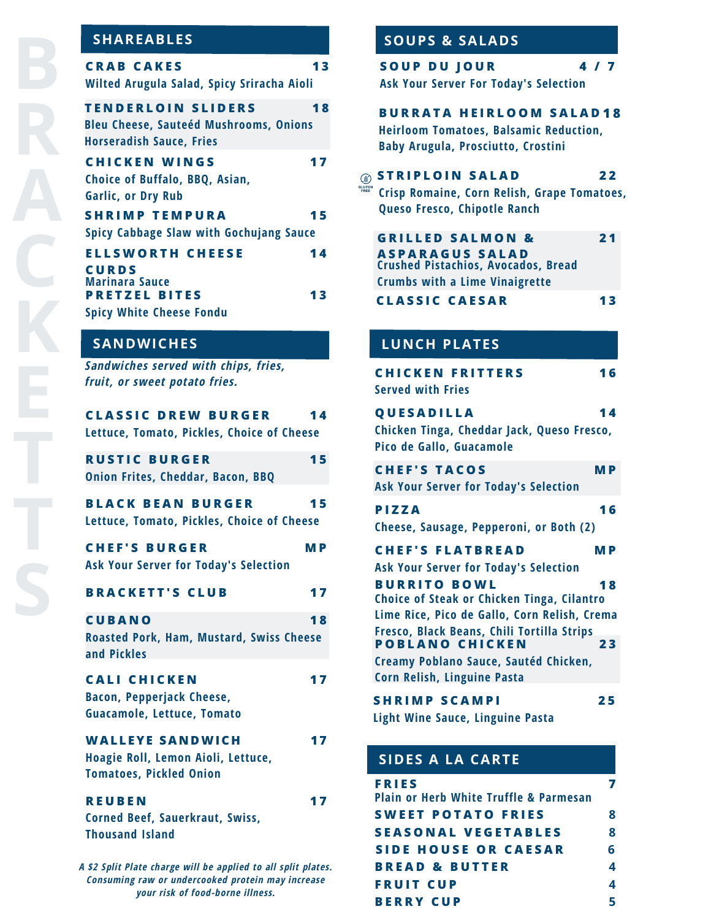| <b>CRAB CAKES</b> |                                            |  |
|-------------------|--------------------------------------------|--|
|                   | Wilted Arugula Salad, Spicy Sriracha Aioli |  |

**1 3**

| TENDERLOIN SLIDERS                     | 18 |
|----------------------------------------|----|
| Bleu Cheese, Sauteéd Mushrooms, Onions |    |
| <b>Horseradish Sauce, Fries</b>        |    |
|                                        |    |

| <b>CHICKEN WINGS</b>                           |    |
|------------------------------------------------|----|
| Choice of Buffalo, BBQ, Asian,                 |    |
| <b>Garlic, or Dry Rub</b>                      |    |
| <b>SHRIMP TEMPURA</b>                          | 15 |
| <b>Spicy Cabbage Slaw with Gochujang Sauce</b> |    |
| <b>ELLSWORTH CHEESE</b>                        | 14 |
| <b>CURDS</b>                                   |    |
| <b>Marinara Sauce</b>                          |    |
| <b>PRETZEL BITES</b>                           | 13 |
| <b>Spicy White Cheese Fondu</b>                |    |

# **SANDWICHES**

*Sandwiches served with chips, fries, fruit, or sweet potato fries.*

| <b>CLASSIC DREW BURGER</b><br>Lettuce, Tomato, Pickles, Choice of Cheese                        | 14        |
|-------------------------------------------------------------------------------------------------|-----------|
| <b>RUSTIC BURGER</b><br><b>Onion Frites, Cheddar, Bacon, BBQ</b>                                | 15        |
| <b>BLACK BEAN BURGER</b><br>Lettuce, Tomato, Pickles, Choice of Cheese                          | 15        |
| <b>CHEF'S BURGER</b><br><b>Ask Your Server for Today's Selection</b>                            | <b>MP</b> |
| <b>BRACKETT'S CLUB</b>                                                                          | 17        |
| <b>CUBANO</b><br><b>Roasted Pork, Ham, Mustard, Swiss Cheese</b><br>and Pickles                 | 18        |
| <b>CALI CHICKEN</b><br><b>Bacon, Pepperjack Cheese,</b><br>Guacamole, Lettuce, Tomato           | 17        |
| <b>WALLEYE SANDWICH</b><br>Hoagie Roll, Lemon Aioli, Lettuce,<br><b>Tomatoes, Pickled Onion</b> | 17        |
| <b>REUBEN</b><br><b>Corned Beef, Sauerkraut, Swiss,</b><br><b>Thousand Island</b>               | 17        |
| A \$2 Split Plate charge will be applied to all split plates.                                   |           |

*Consuming raw or undercooked protein may increase your risk of food-borne illness.*

# **SHAREABLES SOUPS & SALADS**

| <b>SOUP DU JOUR</b><br><b>Ask Your Server For Today's Selection</b>                                                                                                                                                                |  | 4/7       |
|------------------------------------------------------------------------------------------------------------------------------------------------------------------------------------------------------------------------------------|--|-----------|
| <b>BURRATA HEIRLOOM SALAD18</b><br><b>Heirloom Tomatoes, Balsamic Reduction,</b><br><b>Baby Arugula, Prosciutto, Crostini</b>                                                                                                      |  |           |
| <b>STRIPLOIN SALAD</b><br>Crisp Romaine, Corn Relish, Grape Tomatoes,<br>Queso Fresco, Chipotle Ranch                                                                                                                              |  | 22        |
| <b>GRILLED SALMON &amp;</b><br><b>ASPARAGUS SALAD</b><br><b>Crushed Pistachios, Avocados, Bread</b><br><b>Crumbs with a Lime Vinaigrette</b>                                                                                       |  | 21        |
| <b>CLASSIC CAESAR</b>                                                                                                                                                                                                              |  | 13        |
| <b>LUNCH PLATES</b>                                                                                                                                                                                                                |  |           |
| <b>CHICKEN FRITTERS</b><br><b>Served with Fries</b>                                                                                                                                                                                |  | 16        |
| QUESADILLA<br>Chicken Tinga, Cheddar Jack, Queso Fresco,<br>Pico de Gallo, Guacamole                                                                                                                                               |  | 14        |
| <b>CHEF'S TACOS</b><br><b>Ask Your Server for Today's Selection</b>                                                                                                                                                                |  | <b>MP</b> |
| PIZZA<br>Cheese, Sausage, Pepperoni, or Both (2)                                                                                                                                                                                   |  | 16        |
| <b>CHEF'S FLATBREAD</b><br><b>Ask Your Server for Today's Selection</b>                                                                                                                                                            |  | <b>MP</b> |
| <b>BURRITO BOWL</b><br>Choice of Steak or Chicken Tinga, Cilantro<br>Lime Rice, Pico de Gallo, Corn Relish, Crema<br>Fresco, Black Beans, Chili Tortilla Strips<br><b>POBLANO CHICKEN</b><br>Creamy Poblano Sauce, Sautéd Chicken, |  | 18<br>23  |
| Corn Relish, Linguine Pasta                                                                                                                                                                                                        |  |           |

**S H R I M P S C A M P I Light Wine Sauce, Linguine Pasta**

# **SIDES A LA CARTE**

| <b>FRIES</b><br><b>Plain or Herb White Truffle &amp; Parmesan</b> |   |
|-------------------------------------------------------------------|---|
| <b>SWEET POTATO FRIES</b>                                         | 8 |
| <b>SEASONAL VEGETABLES</b>                                        | 8 |
| <b>SIDE HOUSE OR CAESAR</b>                                       | 6 |
| <b>BREAD &amp; BUTTER</b>                                         | 4 |
| <b>FRUIT CUP</b>                                                  | 4 |
| <b>BERRY CUP</b>                                                  |   |

**2 5**